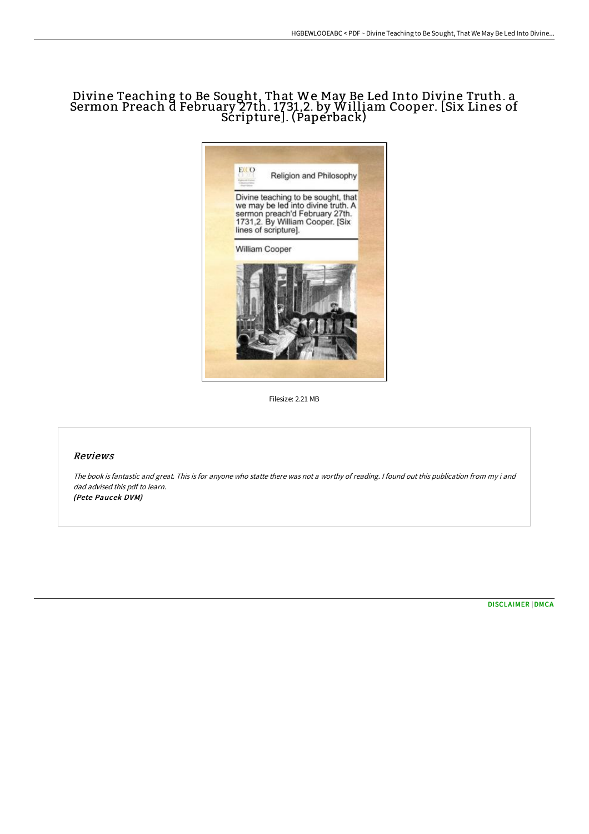## Divine Teaching to Be Sought, That We May Be Led Into Divine Truth. a Sermon Preach d February 27th. 1731,2. by William Cooper. [Six Lines of Scripture]. (Paperback)



Filesize: 2.21 MB

## Reviews

The book is fantastic and great. This is for anyone who statte there was not <sup>a</sup> worthy of reading. <sup>I</sup> found out this publication from my i and dad advised this pdf to learn. (Pete Paucek DVM)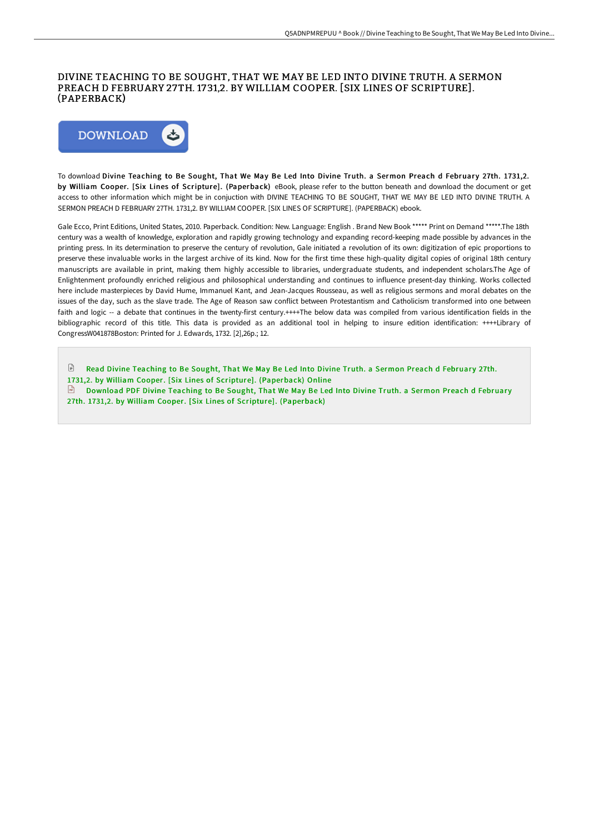## DIVINE TEACHING TO BE SOUGHT, THAT WE MAY BE LED INTO DIVINE TRUTH. A SERMON PREACH D FEBRUARY 27TH. 1731,2. BY WILLIAM COOPER. [SIX LINES OF SCRIPTURE]. (PAPERBACK)



To download Divine Teaching to Be Sought, That We May Be Led Into Divine Truth. a Sermon Preach d February 27th. 1731,2. by William Cooper. [Six Lines of Scripture]. (Paperback) eBook, please refer to the button beneath and download the document or get access to other information which might be in conjuction with DIVINE TEACHING TO BE SOUGHT, THAT WE MAY BE LED INTO DIVINE TRUTH. A SERMON PREACH D FEBRUARY 27TH. 1731,2. BY WILLIAM COOPER. [SIX LINES OF SCRIPTURE]. (PAPERBACK) ebook.

Gale Ecco, Print Editions, United States, 2010. Paperback. Condition: New. Language: English . Brand New Book \*\*\*\*\* Print on Demand \*\*\*\*\*.The 18th century was a wealth of knowledge, exploration and rapidly growing technology and expanding record-keeping made possible by advances in the printing press. In its determination to preserve the century of revolution, Gale initiated a revolution of its own: digitization of epic proportions to preserve these invaluable works in the largest archive of its kind. Now for the first time these high-quality digital copies of original 18th century manuscripts are available in print, making them highly accessible to libraries, undergraduate students, and independent scholars.The Age of Enlightenment profoundly enriched religious and philosophical understanding and continues to influence present-day thinking. Works collected here include masterpieces by David Hume, Immanuel Kant, and Jean-Jacques Rousseau, as well as religious sermons and moral debates on the issues of the day, such as the slave trade. The Age of Reason saw conflict between Protestantism and Catholicism transformed into one between faith and logic -- a debate that continues in the twenty-first century.++++The below data was compiled from various identification fields in the bibliographic record of this title. This data is provided as an additional tool in helping to insure edition identification: ++++Library of CongressW041878Boston: Printed for J. Edwards, 1732. [2],26p.; 12.

E Read Divine Teaching to Be Sought, That We May Be Led Into Divine Truth. a Sermon Preach d February 27th. 1731,2. by William Cooper. [Six Lines of Scripture]. [\(Paperback\)](http://albedo.media/divine-teaching-to-be-sought-that-we-may-be-led-.html) Online Download PDF Divine Teaching to Be Sought, That We May Be Led Into Divine Truth. a Sermon Preach d February 27th. 1731,2. by William Cooper. [Six Lines of Scripture]. [\(Paperback\)](http://albedo.media/divine-teaching-to-be-sought-that-we-may-be-led-.html)